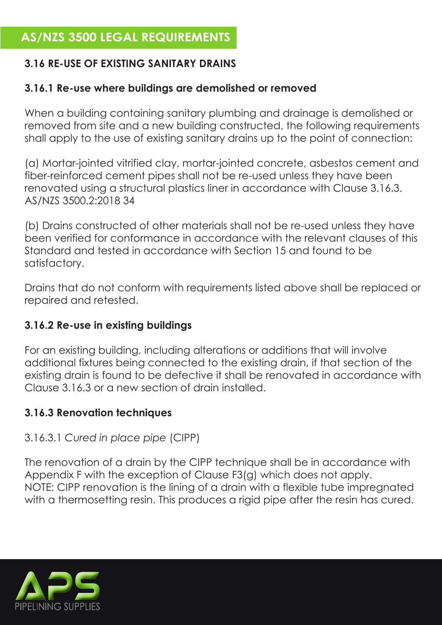## **AS/NZS 3500 LEGAL REQUIREMENTS**

## **3.16 RE-USE OF EXISTING SANITARY DRAINS**

### **3.16.1 Re-use where buildings are demolished or removed**

When a building containing sanitary plumbing and drainage is demolished or removed from site and a new building constructed, the following requirements shall apply to the use of existing sanitary drains up to the point of connection:

(a) Mortar-jointed vitrified clay, mortar-jointed concrete, asbestos cement and fiber-reinforced cement pipes shall not be re-used unless they have been renovated using a structural plastics liner in accordance with Clause 3.16.3. AS/NZS 3500.2:2018 34

(b) Drains constructed of other materials shall not be re-used unless they have been verified for conformance in accordance with the relevant clauses of this Standard and tested in accordance with Section 15 and found to be satisfactory.

Drains that do not conform with requirements listed above shall be replaced or repaired and retested.

## **3.16.2 Re-use in existing buildings**

For an existing building, including alterations or additions that will involve additional fixtures being connected to the existing drain, if that section of the existing drain is found to be defective it shall be renovated in accordance with Clause 3.16.3 or a new section of drain installed.

#### **3.16.3 Renovation techniques**

## 3.16.3.1 *Cured in place pipe* (CIPP)

The renovation of a drain by the CIPP technique shall be in accordance with Appendix F with the exception of Clause F3(g) which does not apply. NOTE: CIPP renovation is the lining of a drain with a flexible tube impregnated with a thermosetting resin. This produces a rigid pipe after the resin has cured.

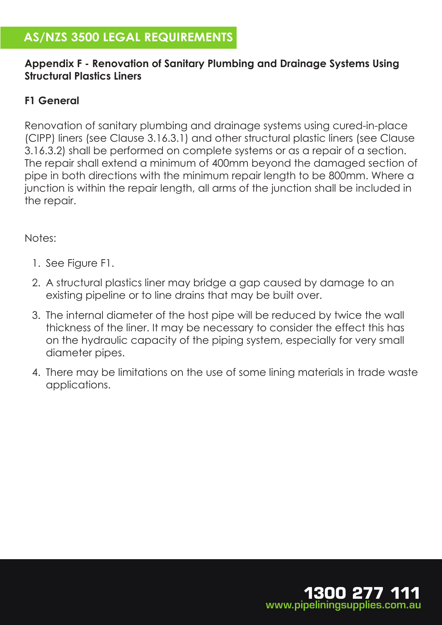# **AS/NZS 3500 LEGAL REQUIREMENTS**

#### **Appendix F - Renovation of Sanitary Plumbing and Drainage Systems Using Structural Plastics Liners**

### **F1 General**

Renovation of sanitary plumbing and drainage systems using cured-in-place (CIPP) liners (see Clause 3.16.3.1) and other structural plastic liners (see Clause 3.16.3.2) shall be performed on complete systems or as a repair of a section. The repair shall extend a minimum of 400mm beyond the damaged section of pipe in both directions with the minimum repair length to be 800mm. Where a junction is within the repair length, all arms of the junction shall be included in the repair.

Notes:

- 1. See Figure F1.
- 2. A structural plastics liner may bridge a gap caused by damage to an existing pipeline or to line drains that may be built over.
- 3. The internal diameter of the host pipe will be reduced by twice the wall thickness of the liner. It may be necessary to consider the effect this has on the hydraulic capacity of the piping system, especially for very small diameter pipes.
- 4. There may be limitations on the use of some lining materials in trade waste applications.

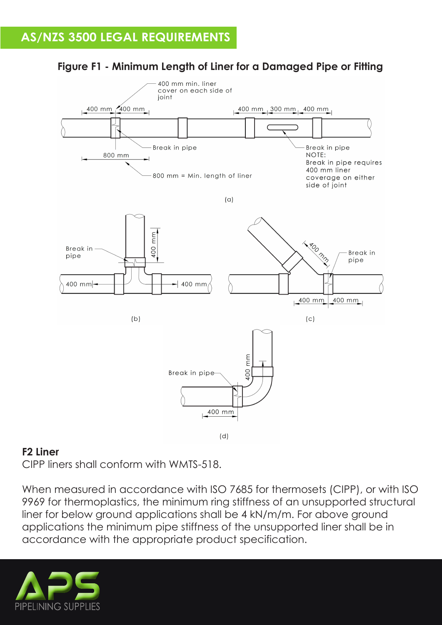

## **Figure F1 - Minimum Length of Liner for a Damaged Pipe or Fitting**

#### **F2 Liner**

CIPP liners shall conform with WMTS-518.

When measured in accordance with ISO 7685 for thermosets (CIPP), or with ISO 9969 for thermoplastics, the minimum ring stiffness of an unsupported structural liner for below ground applications shall be 4 kN/m/m. For above ground applications the minimum pipe stiffness of the unsupported liner shall be in accordance with the appropriate product specification.